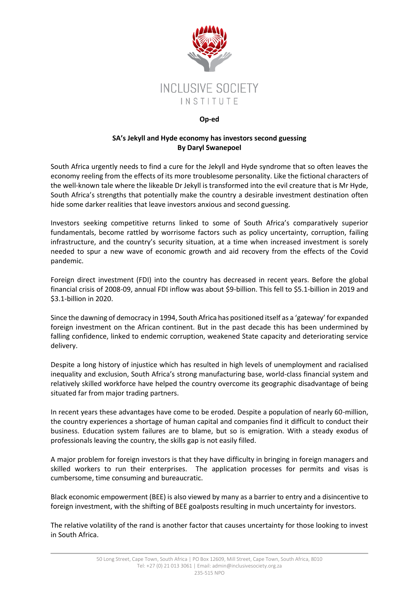

## **Op-ed**

## **SA's Jekyll and Hyde economy has investors second guessing By Daryl Swanepoel**

South Africa urgently needs to find a cure for the Jekyll and Hyde syndrome that so often leaves the economy reeling from the effects of its more troublesome personality. Like the fictional characters of the well-known tale where the likeable Dr Jekyll is transformed into the evil creature that is Mr Hyde, South Africa's strengths that potentially make the country a desirable investment destination often hide some darker realities that leave investors anxious and second guessing.

Investors seeking competitive returns linked to some of South Africa's comparatively superior fundamentals, become rattled by worrisome factors such as policy uncertainty, corruption, failing infrastructure, and the country's security situation, at a time when increased investment is sorely needed to spur a new wave of economic growth and aid recovery from the effects of the Covid pandemic.

Foreign direct investment (FDI) into the country has decreased in recent years. Before the global financial crisis of 2008-09, annual FDI inflow was about \$9-billion. This fell to \$5.1-billion in 2019 and \$3.1-billion in 2020.

Since the dawning of democracy in 1994, South Africa has positioned itself as a 'gateway' for expanded foreign investment on the African continent. But in the past decade this has been undermined by falling confidence, linked to endemic corruption, weakened State capacity and deteriorating service delivery.

Despite a long history of injustice which has resulted in high levels of unemployment and racialised inequality and exclusion, South Africa's strong manufacturing base, world-class financial system and relatively skilled workforce have helped the country overcome its geographic disadvantage of being situated far from major trading partners.

In recent years these advantages have come to be eroded. Despite a population of nearly 60-million, the country experiences a shortage of human capital and companies find it difficult to conduct their business. Education system failures are to blame, but so is emigration. With a steady exodus of professionals leaving the country, the skills gap is not easily filled.

A major problem for foreign investors is that they have difficulty in bringing in foreign managers and skilled workers to run their enterprises. The application processes for permits and visas is cumbersome, time consuming and bureaucratic.

Black economic empowerment (BEE) is also viewed by many as a barrier to entry and a disincentive to foreign investment, with the shifting of BEE goalposts resulting in much uncertainty for investors.

The relative volatility of the rand is another factor that causes uncertainty for those looking to invest in South Africa.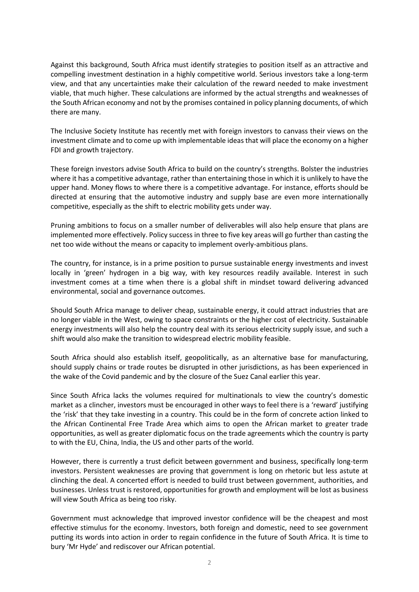Against this background, South Africa must identify strategies to position itself as an attractive and compelling investment destination in a highly competitive world. Serious investors take a long-term view, and that any uncertainties make their calculation of the reward needed to make investment viable, that much higher. These calculations are informed by the actual strengths and weaknesses of the South African economy and not by the promises contained in policy planning documents, of which there are many.

The Inclusive Society Institute has recently met with foreign investors to canvass their views on the investment climate and to come up with implementable ideas that will place the economy on a higher FDI and growth trajectory.

These foreign investors advise South Africa to build on the country's strengths. Bolster the industries where it has a competitive advantage, rather than entertaining those in which it is unlikely to have the upper hand. Money flows to where there is a competitive advantage. For instance, efforts should be directed at ensuring that the automotive industry and supply base are even more internationally competitive, especially as the shift to electric mobility gets under way.

Pruning ambitions to focus on a smaller number of deliverables will also help ensure that plans are implemented more effectively. Policy success in three to five key areas will go further than casting the net too wide without the means or capacity to implement overly-ambitious plans.

The country, for instance, is in a prime position to pursue sustainable energy investments and invest locally in 'green' hydrogen in a big way, with key resources readily available. Interest in such investment comes at a time when there is a global shift in mindset toward delivering advanced environmental, social and governance outcomes.

Should South Africa manage to deliver cheap, sustainable energy, it could attract industries that are no longer viable in the West, owing to space constraints or the higher cost of electricity. Sustainable energy investments will also help the country deal with its serious electricity supply issue, and such a shift would also make the transition to widespread electric mobility feasible.

South Africa should also establish itself, geopolitically, as an alternative base for manufacturing, should supply chains or trade routes be disrupted in other jurisdictions, as has been experienced in the wake of the Covid pandemic and by the closure of the Suez Canal earlier this year.

Since South Africa lacks the volumes required for multinationals to view the country's domestic market as a clincher, investors must be encouraged in other ways to feel there is a 'reward' justifying the 'risk' that they take investing in a country. This could be in the form of concrete action linked to the African Continental Free Trade Area which aims to open the African market to greater trade opportunities, as well as greater diplomatic focus on the trade agreements which the country is party to with the EU, China, India, the US and other parts of the world.

However, there is currently a trust deficit between government and business, specifically long-term investors. Persistent weaknesses are proving that government is long on rhetoric but less astute at clinching the deal. A concerted effort is needed to build trust between government, authorities, and businesses. Unless trust is restored, opportunities for growth and employment will be lost as business will view South Africa as being too risky.

Government must acknowledge that improved investor confidence will be the cheapest and most effective stimulus for the economy. Investors, both foreign and domestic, need to see government putting its words into action in order to regain confidence in the future of South Africa. It is time to bury 'Mr Hyde' and rediscover our African potential.